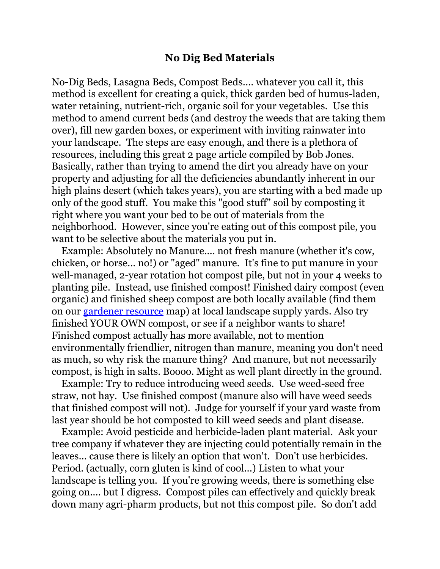## **No Dig Bed Materials**

No-Dig Beds, Lasagna Beds, Compost Beds.... whatever you call it, this method is excellent for creating a quick, thick garden bed of humus-laden, water retaining, nutrient-rich, organic soil for your vegetables. Use this method to amend current beds (and destroy the weeds that are taking them over), fill new garden boxes, or experiment with inviting rainwater into your landscape. The steps are easy enough, and there is a plethora of resources, including this great 2 page article compiled by Bob Jones. Basically, rather than trying to amend the dirt you already have on your property and adjusting for all the deficiencies abundantly inherent in our high plains desert (which takes years), you are starting with a bed made up only of the good stuff. You make this "good stuff" soil by composting it right where you want your bed to be out of materials from the neighborhood. However, since you're eating out of this compost pile, you want to be selective about the materials you put in.

Example: Absolutely no Manure.... not fresh manure (whether it's cow, chicken, or horse... no!) or "aged" manure. It's fine to put manure in your well-managed, 2-year rotation hot compost pile, but not in your 4 weeks to planting pile. Instead, use finished compost! Finished dairy compost (even organic) and finished sheep compost are both locally available (find them on our [gardener resource](http://www.google.com/maps/ms?ie=UTF8&msa=0&msid=115444100655678740920.000463f1a4bdfd918be46&ll=40.441721,-104.902954&spn=0.469275,0.852814&z=10) map) at local landscape supply yards. Also try finished YOUR OWN compost, or see if a neighbor wants to share! Finished compost actually has more available, not to mention environmentally friendlier, nitrogen than manure, meaning you don't need as much, so why risk the manure thing? And manure, but not necessarily compost, is high in salts. Boooo. Might as well plant directly in the ground.

Example: Try to reduce introducing weed seeds. Use weed-seed free straw, not hay. Use finished compost (manure also will have weed seeds that finished compost will not). Judge for yourself if your yard waste from last year should be hot composted to kill weed seeds and plant disease.

Example: Avoid pesticide and herbicide-laden plant material. Ask your tree company if whatever they are injecting could potentially remain in the leaves... cause there is likely an option that won't. Don't use herbicides. Period. (actually, corn gluten is kind of cool...) Listen to what your landscape is telling you. If you're growing weeds, there is something else going on.... but I digress. Compost piles can effectively and quickly break down many agri-pharm products, but not this compost pile. So don't add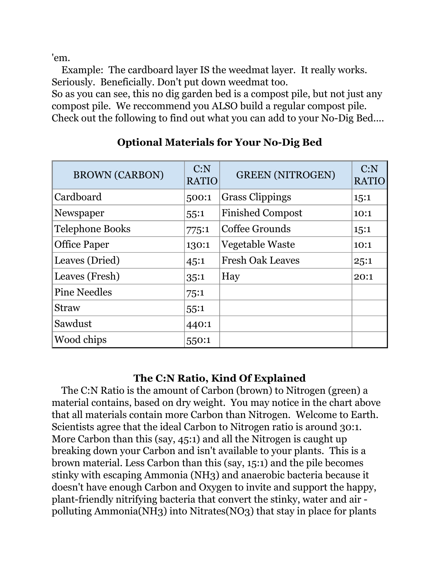'em.

Example: The cardboard layer IS the weedmat layer. It really works. Seriously. Beneficially. Don't put down weedmat too.

So as you can see, this no dig garden bed is a compost pile, but not just any compost pile. We reccommend you ALSO build a regular compost pile. Check out the following to find out what you can add to your No-Dig Bed....

| <b>BROWN (CARBON)</b>  | C: N<br><b>RATIO</b> | <b>GREEN (NITROGEN)</b> | C: N<br><b>RATIO</b> |
|------------------------|----------------------|-------------------------|----------------------|
| Cardboard              | 500:1                | <b>Grass Clippings</b>  | 1,5:1                |
| Newspaper              | 55:1                 | <b>Finished Compost</b> | 10:1                 |
| <b>Telephone Books</b> | 775:1                | Coffee Grounds          | 15:1                 |
| <b>Office Paper</b>    | 130:1                | Vegetable Waste         | 10:1                 |
| Leaves (Dried)         | 45:1                 | <b>Fresh Oak Leaves</b> | 25:1                 |
| Leaves (Fresh)         | 35:1                 | Hay                     | 20:1                 |
| <b>Pine Needles</b>    | 75:1                 |                         |                      |
| <b>Straw</b>           | 55:1                 |                         |                      |
| Sawdust                | 440:1                |                         |                      |
| Wood chips             | 550:1                |                         |                      |

## **Optional Materials for Your No-Dig Bed**

## **The C:N Ratio, Kind Of Explained**

The C:N Ratio is the amount of Carbon (brown) to Nitrogen (green) a material contains, based on dry weight. You may notice in the chart above that all materials contain more Carbon than Nitrogen. Welcome to Earth. Scientists agree that the ideal Carbon to Nitrogen ratio is around 30:1. More Carbon than this (say, 45:1) and all the Nitrogen is caught up breaking down your Carbon and isn't available to your plants. This is a brown material. Less Carbon than this (say, 15:1) and the pile becomes stinky with escaping Ammonia (NH3) and anaerobic bacteria because it doesn't have enough Carbon and Oxygen to invite and support the happy, plant-friendly nitrifying bacteria that convert the stinky, water and air polluting Ammonia(NH3) into Nitrates(NO3) that stay in place for plants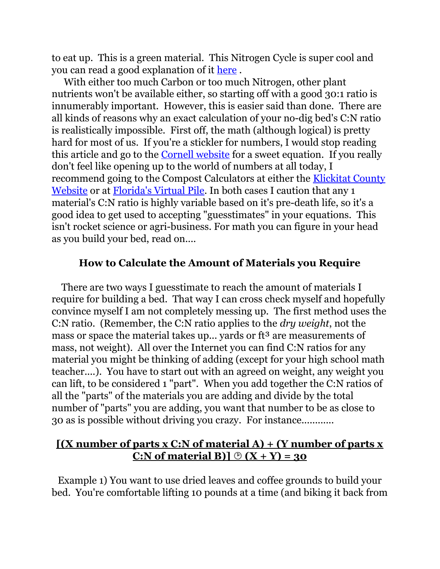to eat up. This is a green material. This Nitrogen Cycle is super cool and you can read a good explanation of it [here](http://users.rcn.com/jkimball.ma.ultranet/BiologyPages/N/NitrogenCycle.html#Decay).

With either too much Carbon or too much Nitrogen, other plant nutrients won't be available either, so starting off with a good 30:1 ratio is innumerably important. However, this is easier said than done. There are all kinds of reasons why an exact calculation of your no-dig bed's C:N ratio is realistically impossible. First off, the math (although logical) is pretty hard for most of us. If you're a stickler for numbers, I would stop reading this article and go to the [Cornell website](http://compost.css.cornell.edu/calc/cn_ratio.html) for a sweet equation. If you really don't feel like opening up to the world of numbers at all today, I recommend going to the Compost Calculators at either the [Klickitat County](http://www.klickitatcounty.org/SolidWaste/fileshtml/organics/compostCalc.htm) [Website](http://www.klickitatcounty.org/SolidWaste/fileshtml/organics/compostCalc.htm) or at [Florida's Virtual Pile.](http://www.compostinfo.com/cn/index.htm) In both cases I caution that any 1 material's C:N ratio is highly variable based on it's pre-death life, so it's a good idea to get used to accepting "guesstimates" in your equations. This isn't rocket science or agri-business. For math you can figure in your head as you build your bed, read on....

#### **How to Calculate the Amount of Materials you Require**

There are two ways I guesstimate to reach the amount of materials I require for building a bed. That way I can cross check myself and hopefully convince myself I am not completely messing up. The first method uses the C:N ratio. (Remember, the C:N ratio applies to the *dry weight*, not the mass or space the material takes up... yards or ft<sup>3</sup> are measurements of mass, not weight). All over the Internet you can find C:N ratios for any material you might be thinking of adding (except for your high school math teacher....). You have to start out with an agreed on weight, any weight you can lift, to be considered 1 "part". When you add together the C:N ratios of all the "parts" of the materials you are adding and divide by the total number of "parts" you are adding, you want that number to be as close to 30 as is possible without driving you crazy. For instance............

## **[(X number of parts x C:N of material A) + (Y number of parts x C:N** of material B)]  $\circledcirc$   $(X + Y) = 30$

Example 1) You want to use dried leaves and coffee grounds to build your bed. You're comfortable lifting 10 pounds at a time (and biking it back from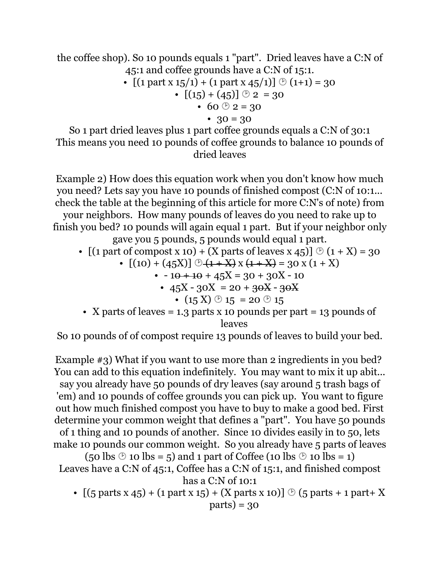the coffee shop). So 10 pounds equals 1 "part". Dried leaves have a C:N of 45:1 and coffee grounds have a C:N of 15:1.

• 
$$
[(1 part x 15/1) + (1 part x 45/1)] \circlearrowright (1+1) = 30
$$
  
• 
$$
[(15) + (45)] \circlearrowright 2 = 30
$$

$$
\bullet\;\;60\; @\;2=30
$$

• 
$$
30 = 30
$$

So 1 part dried leaves plus 1 part coffee grounds equals a C:N of 30:1 This means you need 10 pounds of coffee grounds to balance 10 pounds of dried leaves

Example 2) How does this equation work when you don't know how much you need? Lets say you have 10 pounds of finished compost (C:N of 10:1... check the table at the beginning of this article for more C:N's of note) from your neighbors. How many pounds of leaves do you need to rake up to finish you bed? 10 pounds will again equal 1 part. But if your neighbor only gave you 5 pounds, 5 pounds would equal 1 part.

- $[(1 part of compost x 10) + (X parts of leaves x 45)] \otimes (1 + X) = 30$ 
	- $[(10) + (45X)] \bigoplus (1+X) \times (1+X) = 30 \times (1+X)$ 
		- $\cdot$  10 + 10 + 45X = 30 + 30X 10
			- $45X 30X = 20 + 30X 30X$ 
				- $(15 \text{ X}) \oplus 15 = 20 \oplus 15$
- X parts of leaves  $= 1.3$  parts x 10 pounds per part  $= 13$  pounds of leaves

So 10 pounds of of compost require 13 pounds of leaves to build your bed.

Example #3) What if you want to use more than 2 ingredients in you bed? You can add to this equation indefinitely. You may want to mix it up abit... say you already have 50 pounds of dry leaves (say around 5 trash bags of 'em) and 10 pounds of coffee grounds you can pick up. You want to figure out how much finished compost you have to buy to make a good bed. First determine your common weight that defines a "part". You have 50 pounds of 1 thing and 10 pounds of another. Since 10 divides easily in to 50, lets make 10 pounds our common weight. So you already have 5 parts of leaves

 $(50 \text{ lbs} \otimes 10 \text{ lbs} = 5)$  and 1 part of Coffee (10 lbs  $\otimes$  10 lbs = 1) Leaves have a C:N of 45:1, Coffee has a C:N of 15:1, and finished compost has a C:N of 10:1

•  $[(5 \text{ parts } x \ 45) + (1 \text{ part } x \ 15) + (X \text{ parts } x \ 10)] \otimes (5 \text{ parts } + 1 \text{ part} + X)$  $parts) = 30$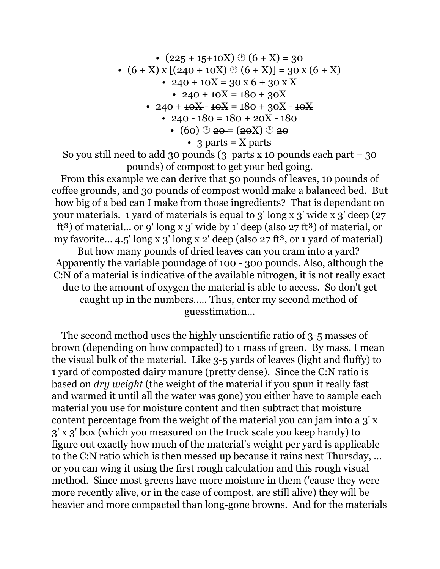• 
$$
(225 + 15 + 10X) \circledcirc (6 + X) = 30
$$
  
\n•  $(6 + X) \times [(240 + 10X) \circledcirc (6 + X)] = 30 \times (6 + X)$   
\n•  $240 + 10X = 30 \times 6 + 30 \times X$   
\n•  $240 + 10X = 180 + 30X$   
\n•  $240 + 10X - 180 + 30X - 10X$   
\n•  $240 - 180 = 180 + 30X - 10X$   
\n•  $240 - 180 = 180 + 20X - 180$   
\n•  $(60) \circledcirc 20 = (20X) \circledcirc 20$   
\n•  $3 \text{ parts} = X \text{ parts}$ 

So you still need to add 30 pounds  $(3 \text{ parts } x \text{ 10 pounds each part } = 30$ pounds) of compost to get your bed going.

From this example we can derive that 50 pounds of leaves, 10 pounds of coffee grounds, and 30 pounds of compost would make a balanced bed. But how big of a bed can I make from those ingredients? That is dependant on your materials. 1 yard of materials is equal to 3' long x 3' wide x 3' deep (27 ft<sup>3</sup>) of material... or 9' long x 3' wide by 1' deep (also  $27$  ft<sup>3</sup>) of material, or my favorite...  $4.5'$  long x 3' long x 2' deep (also 27 ft<sup>3</sup>, or 1 yard of material) But how many pounds of dried leaves can you cram into a yard? Apparently the variable poundage of 100 - 300 pounds. Also, although the C:N of a material is indicative of the available nitrogen, it is not really exact due to the amount of oxygen the material is able to access. So don't get caught up in the numbers..... Thus, enter my second method of guesstimation...

The second method uses the highly unscientific ratio of 3-5 masses of brown (depending on how compacted) to 1 mass of green. By mass, I mean the visual bulk of the material. Like 3-5 yards of leaves (light and fluffy) to 1 yard of composted dairy manure (pretty dense). Since the C:N ratio is based on *dry weight* (the weight of the material if you spun it really fast and warmed it until all the water was gone) you either have to sample each material you use for moisture content and then subtract that moisture content percentage from the weight of the material you can jam into a 3' x 3' x 3' box (which you measured on the truck scale you keep handy) to figure out exactly how much of the material's weight per yard is applicable to the C:N ratio which is then messed up because it rains next Thursday, ... or you can wing it using the first rough calculation and this rough visual method. Since most greens have more moisture in them ('cause they were more recently alive, or in the case of compost, are still alive) they will be heavier and more compacted than long-gone browns. And for the materials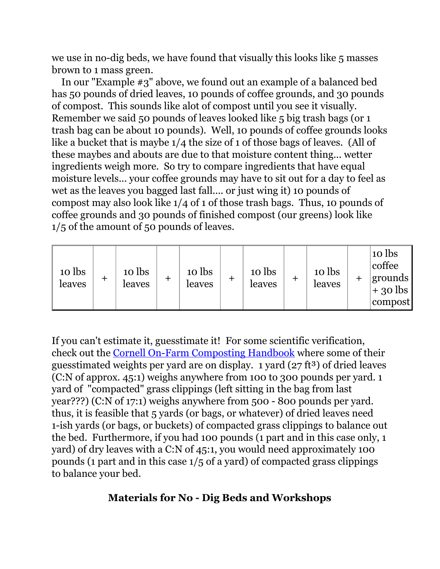we use in no-dig beds, we have found that visually this looks like 5 masses brown to 1 mass green.

In our "Example #3" above, we found out an example of a balanced bed has 50 pounds of dried leaves, 10 pounds of coffee grounds, and 30 pounds of compost. This sounds like alot of compost until you see it visually. Remember we said 50 pounds of leaves looked like 5 big trash bags (or 1 trash bag can be about 10 pounds). Well, 10 pounds of coffee grounds looks like a bucket that is maybe 1/4 the size of 1 of those bags of leaves. (All of these maybes and abouts are due to that moisture content thing... wetter ingredients weigh more. So try to compare ingredients that have equal moisture levels... your coffee grounds may have to sit out for a day to feel as wet as the leaves you bagged last fall.... or just wing it) 10 pounds of compost may also look like 1/4 of 1 of those trash bags. Thus, 10 pounds of coffee grounds and 30 pounds of finished compost (our greens) look like 1/5 of the amount of 50 pounds of leaves.

| 10 lbs<br>leaves | ᆠ | 10 lbs<br>leaves |  | 10 lbs<br>leaves |  | 10 lbs<br>leaves | + | 10 lbs<br>leaves |  | 10 lbs<br>coffee<br> grounds  <br>$+30$ lbs<br>compost |
|------------------|---|------------------|--|------------------|--|------------------|---|------------------|--|--------------------------------------------------------|
|------------------|---|------------------|--|------------------|--|------------------|---|------------------|--|--------------------------------------------------------|

If you can't estimate it, guesstimate it! For some scientific verification, check out the [Cornell On-Farm Composting Handbook](http://compost.css.cornell.edu/OnFarmHandbook/apa.taba1.html) where some of their guesstimated weights per yard are on display. 1 yard  $(27 ft<sup>3</sup>)$  of dried leaves (C:N of approx. 45:1) weighs anywhere from 100 to 300 pounds per yard. 1 yard of "compacted" grass clippings (left sitting in the bag from last year???) (C:N of 17:1) weighs anywhere from 500 - 800 pounds per yard. thus, it is feasible that 5 yards (or bags, or whatever) of dried leaves need 1-ish yards (or bags, or buckets) of compacted grass clippings to balance out the bed. Furthermore, if you had 100 pounds (1 part and in this case only, 1 yard) of dry leaves with a C:N of 45:1, you would need approximately 100 pounds (1 part and in this case 1/5 of a yard) of compacted grass clippings to balance your bed.

## **Materials for No - Dig Beds and Workshops**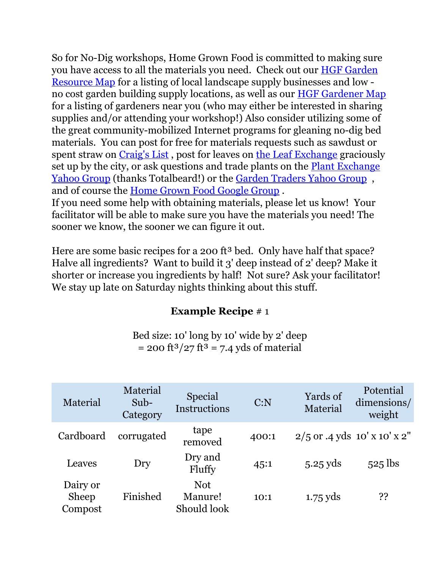So for No-Dig workshops, Home Grown Food is committed to making sure you have access to all the materials you need. Check out our [HGF Garden](http://www.google.com/maps/ms?ie=UTF8&msa=0&msid=115444100655678740920.000463f1a4bdfd918be46&ll=40.441721,-104.902954&spn=0.499589,0.852814&z=10) [Resource Map](http://www.google.com/maps/ms?ie=UTF8&msa=0&msid=115444100655678740920.000463f1a4bdfd918be46&ll=40.441721,-104.902954&spn=0.499589,0.852814&z=10) for a listing of local landscape supply businesses and low no cost garden building supply locations, as well as our [HGF Gardener Map](http://www.google.com/maps/ms?ie=UTF8&msa=0&msid=115444100655678740920.000460b08402d8d438e71&ll=40.570154,-105.170746&spn=0.468377,0.852814&z=10) for a listing of gardeners near you (who may either be interested in sharing supplies and/or attending your workshop!) Also consider utilizing some of the great community-mobilized Internet programs for gleaning no-dig bed materials. You can post for free for materials requests such as sawdust or spent straw on [Craig's List](http://fortcollins.craigslist.org/) , post for leaves on [the Leaf Exchange](http://fcgov.com/recycling/leaf-exchange.php) graciously set up by the city, or ask questions and trade plants on the [Plant Exchange](http://tech.groups.yahoo.com/group/plantexchangefortcollins/) [Yahoo Group](http://tech.groups.yahoo.com/group/plantexchangefortcollins/) (thanks Totalbeard!) or the [Garden Traders Yahoo Group](http://tech.groups.yahoo.com/group/NorthernColorado-GardenTraders/?v=1&t=search&ch=web&pub=groups&sec=group&slk=3) , and of course the [Home Grown Food Google Group](http://groups.google.com/group/home-grown-food) . If you need some help with obtaining materials, please let us know! Your

facilitator will be able to make sure you have the materials you need! The sooner we know, the sooner we can figure it out.

Here are some basic recipes for a 200 ft<sup>3</sup> bed. Only have half that space? Halve all ingredients? Want to build it 3' deep instead of 2' deep? Make it shorter or increase you ingredients by half! Not sure? Ask your facilitator! We stay up late on Saturday nights thinking about this stuff.

# **Example Recipe** # 1

Bed size: 10' long by 10' wide by 2' deep  $= 200 \text{ ft}^3 / 27 \text{ ft}^3 = 7.4 \text{ vds of material}$ 

| Material                     | Material<br>$Sub-$<br>Category | <b>Special</b><br><b>Instructions</b> | C: N  | Yards of<br>Material | Potential<br>dimensions/<br>weight |
|------------------------------|--------------------------------|---------------------------------------|-------|----------------------|------------------------------------|
| Cardboard                    | corrugated                     | tape<br>removed                       | 400:1 |                      | $2/5$ or .4 yds 10' x 10' x 2"     |
| Leaves                       | Dry                            | Dry and<br>Fluffy                     | 45:1  | $5.25$ yds           | $525$ lbs                          |
| Dairy or<br>Sheep<br>Compost | Finished                       | <b>Not</b><br>Manure!<br>Should look  | 10:1  | $1.75$ yds           | 55                                 |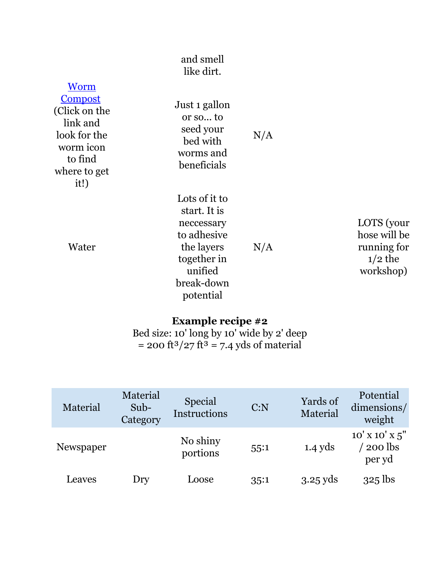#### and smell like dirt.

| Worm<br><u>Compost</u><br>(Click on the<br>link and<br>look for the<br>worm icon<br>to find<br>where to get<br>it!) | Just 1 gallon<br>or so to<br>seed your<br>bed with<br>worms and<br>beneficials | N/A |
|---------------------------------------------------------------------------------------------------------------------|--------------------------------------------------------------------------------|-----|
|                                                                                                                     | Lots of it to<br>$\alpha$ and $\alpha$ $\alpha$                                |     |

Water

start. It is neccessary to adhesive the layers together in unified break-down potential N/A

LOTS (your hose will be running for  $1/2$  the workshop)

## **Example recipe #2**

Bed size: 10' long by 10' wide by 2' deep  $= 200 \text{ ft}^3 / 27 \text{ ft}^3 = 7.4 \text{ yds of material}$ 

| Material  | Material<br>Sub-<br>Category | <b>Special</b><br>Instructions | C: N | Yards of<br>Material | Potential<br>dimensions/<br>weight                |
|-----------|------------------------------|--------------------------------|------|----------------------|---------------------------------------------------|
| Newspaper |                              | No shiny<br>portions           | 55:1 | $1.4$ yds            | $10'$ X $10'$ X $5''$<br><b>200</b> lbs<br>per yd |
| Leaves    | Dry                          | Loose                          | 35:1 | $3.25$ yds           | $325$ lbs                                         |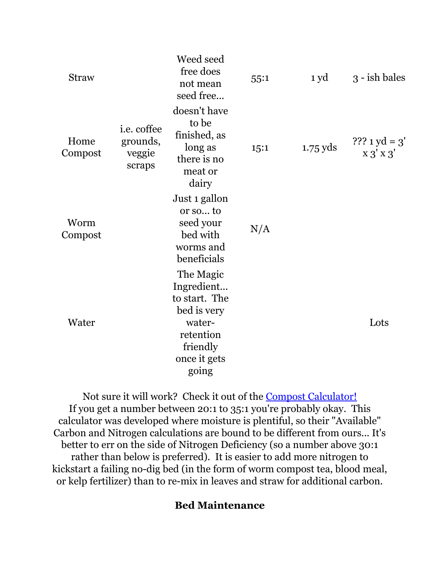| <b>Straw</b>    |                                                    | Weed seed<br>free does<br>not mean<br>seed free                                                                     | 55:1 | 1 yd       | 3 - ish bales                 |
|-----------------|----------------------------------------------------|---------------------------------------------------------------------------------------------------------------------|------|------------|-------------------------------|
| Home<br>Compost | <i>i.e.</i> coffee<br>grounds,<br>veggie<br>scraps | doesn't have<br>to be<br>finished, as<br>long as<br>there is no<br>meat or<br>dairy                                 | 15:1 | $1.75$ yds | $?$ ?? 1 yd = 3'<br>X 3' X 3' |
| Worm<br>Compost |                                                    | Just 1 gallon<br>or so to<br>seed your<br>bed with<br>worms and<br>beneficials                                      | N/A  |            |                               |
| Water           |                                                    | The Magic<br>Ingredient<br>to start. The<br>bed is very<br>water-<br>retention<br>friendly<br>once it gets<br>going |      |            | Lots                          |

Not sure it will work? Check it out of the [Compost Calculator!](http://www.klickitatcounty.org/SolidWaste/fileshtml/organics/compostCalc.htm) If you get a number between 20:1 to 35:1 you're probably okay. This calculator was developed where moisture is plentiful, so their "Available" Carbon and Nitrogen calculations are bound to be different from ours... It's better to err on the side of Nitrogen Deficiency (so a number above 30:1 rather than below is preferred). It is easier to add more nitrogen to kickstart a failing no-dig bed (in the form of worm compost tea, blood meal, or kelp fertilizer) than to re-mix in leaves and straw for additional carbon.

## **Bed Maintenance**